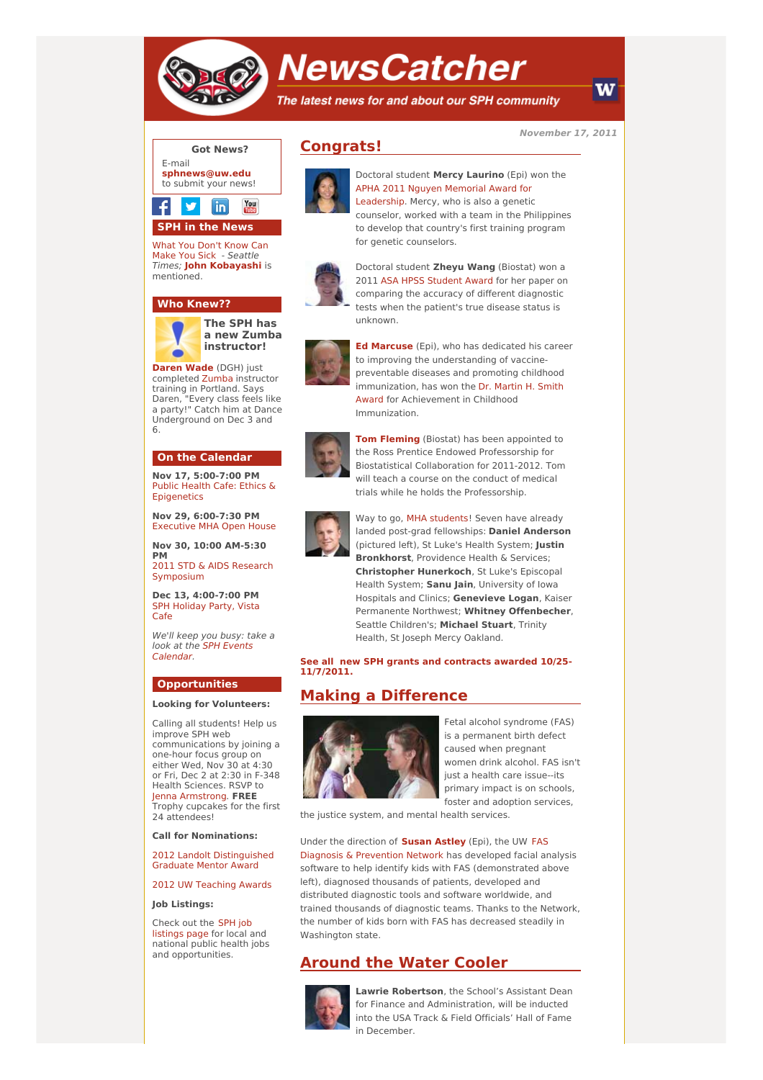

# **NewsCatcher**

The latest news for and about our SPH community

**November 17, 2011**



# **SPH in the News**

What You Don't Know Can Make You Sick - [Seattle](http://engage.washington.edu/site/R?i=OeulmEoJ_urCr68i1vg4QA) Times; **John [Kobayashi](http://engage.washington.edu/site/R?i=PbEqNU6OGKkDkYX4g8bKHQ)** is mentioned.

#### **Who Knew??**



**[Daren](http://engage.washington.edu/site/R?i=Bdw5ktS1y3Nsl9tJnYx3Fw) Wade** (DGH) just completed [Zumba](http://engage.washington.edu/site/R?i=dhRucFCi0OaBcX1zglYbEQ) instructor training in Portland. Says Daren, "Every class feels like a party!" Catch him at Dance Underground on Dec 3 and 6.

#### **On the Calendar**

**Nov 17, 5:00-7:00 PM** Public Health Cafe: Ethics & **[Epigenetics](http://engage.washington.edu/site/R?i=e4yoCC0ld9dw2MqmkSbl3w)** 

**Nov 29, 6:00-7:30 PM** [Executive](http://engage.washington.edu/site/R?i=p0lDP0jLBthx1KyZbdmjyw) MHA Open House

**Nov 30, 10:00 AM-5:30 PM**

2011 STD & AIDS Research [Symposium](http://engage.washington.edu/site/R?i=pq3ZU5CC4yGTVEIJ6w37bw)

**Dec 13, 4:00-7:00 PM** SPH [Holiday](http://engage.washington.edu/site/R?i=3dQltTciUXZ0PLT9mTYyNw) Party, Vista Cafe

We'll keep you busy: take a look at the SPH Events [Calendar.](http://engage.washington.edu/site/R?i=WtSm8iN3E72yZPFbIbWgGw)

#### **Opportunities**

#### **Looking for Volunteers:**

Calling all students! Help us improve SPH web communications by joining a one-hour focus group on either Wed, Nov 30 at 4:30 or Fri, Dec 2 at 2:30 in F-348 Health Sciences. RSVP to Jenna [Armstrong](mailto:jennaa@uw.edu). **FREE** Trophy cupcakes for the first 24 attendees!

**Call for Nominations:**

2012 Landolt [Distinguished](http://engage.washington.edu/site/R?i=s9cbNmJ0WkJss1CHfbhRVA) Graduate Mentor Award

2012 UW [Teaching](http://engage.washington.edu/site/R?i=6s2qdu3gVPQOa1RdYSB5sQ) Awards

#### **Job Listings:**

Check out the SPH job [listings](http://engage.washington.edu/site/R?i=Zvb3jwH1oaCtgFzU22e2ew) page for local and national public health jobs and opportunities.



**Congrats!**





to develop that country's first training program for genetic counselors. Doctoral student **Zheyu Wang** (Biostat) won a 2011 ASA HPSS [Student](http://engage.washington.edu/site/R?i=TNkwJN44th3DQH9eywqYqg) Award for her paper on

Doctoral student **Mercy Laurino** (Epi) won the APHA 2011 Nguyen Memorial Award for [Leadership.](http://engage.washington.edu/site/R?i=4zDrKaMPF0c0UY12undRoQ) Mercy, who is also a genetic counselor, worked with a team in the Philippines

comparing the accuracy of different diagnostic tests when the patient's true disease status is unknown.

**Ed [Marcuse](http://engage.washington.edu/site/R?i=VCvfXToJFliNxMKR_O3tVQ)** (Epi), who has dedicated his career to improving the understanding of vaccinepreventable diseases and promoting childhood [immunization,](http://engage.washington.edu/site/R?i=hnkTT19dVEmelcX57t5BrQ) has won the Dr. Martin H. Smith Award for Achievement in Childhood

Immunization.



**Tom [Fleming](http://engage.washington.edu/site/R?i=IKw2-es7AHbedfbOu04kOA)** (Biostat) has been appointed to the Ross Prentice Endowed Professorship for Biostatistical Collaboration for 2011-2012. Tom will teach a course on the conduct of medical trials while he holds the Professorship.



Way to go, MHA [students](http://engage.washington.edu/site/R?i=96pFiszma0GZnzLtJPXzIw)! Seven have already landed post-grad fellowships: **Daniel Anderson** (pictured left), St Luke's Health System; **Justin Bronkhorst**, Providence Health & Services; **Christopher Hunerkoch**, St Luke's Episcopal Health System; **Sanu Jain**, University of Iowa Hospitals and Clinics; **Genevieve Logan**, Kaiser Permanente Northwest; **Whitney Offenbecher**, Seattle Children's; **Michael Stuart**, Trinity Health, St Joseph Mercy Oakland.

**See all new SPH grants and contracts awarded 10/25- [11/7/2011.](http://engage.washington.edu/site/R?i=BRyuJ1vGH-cE43WW6tHeqQ)**

### **Making a Difference**



Fetal alcohol syndrome (FAS) is a permanent birth defect caused when pregnant women drink alcohol. FAS isn't just a health care issue--its primary impact is on schools, foster and adoption services,

the justice system, and mental health services.

Under the direction of **[Susan](http://engage.washington.edu/site/R?i=xNeYbwdl5zPqaZHTqCxpaQ) Astley** (Epi), the UW FAS Diagnosis & [Prevention](http://engage.washington.edu/site/R?i=Pz8h8eoEYMA6_NsuGx5phA) Network has developed facial analysis software to help identify kids with FAS (demonstrated above left), diagnosed thousands of patients, developed and distributed diagnostic tools and software worldwide, and trained thousands of diagnostic teams. Thanks to the Network, the number of kids born with FAS has decreased steadily in Washington state.

## **Around the Water Cooler**



**Lawrie Robertson**, the School's Assistant Dean for Finance and Administration, will be inducted into the USA Track & Field Officials' Hall of Fame in December.

W